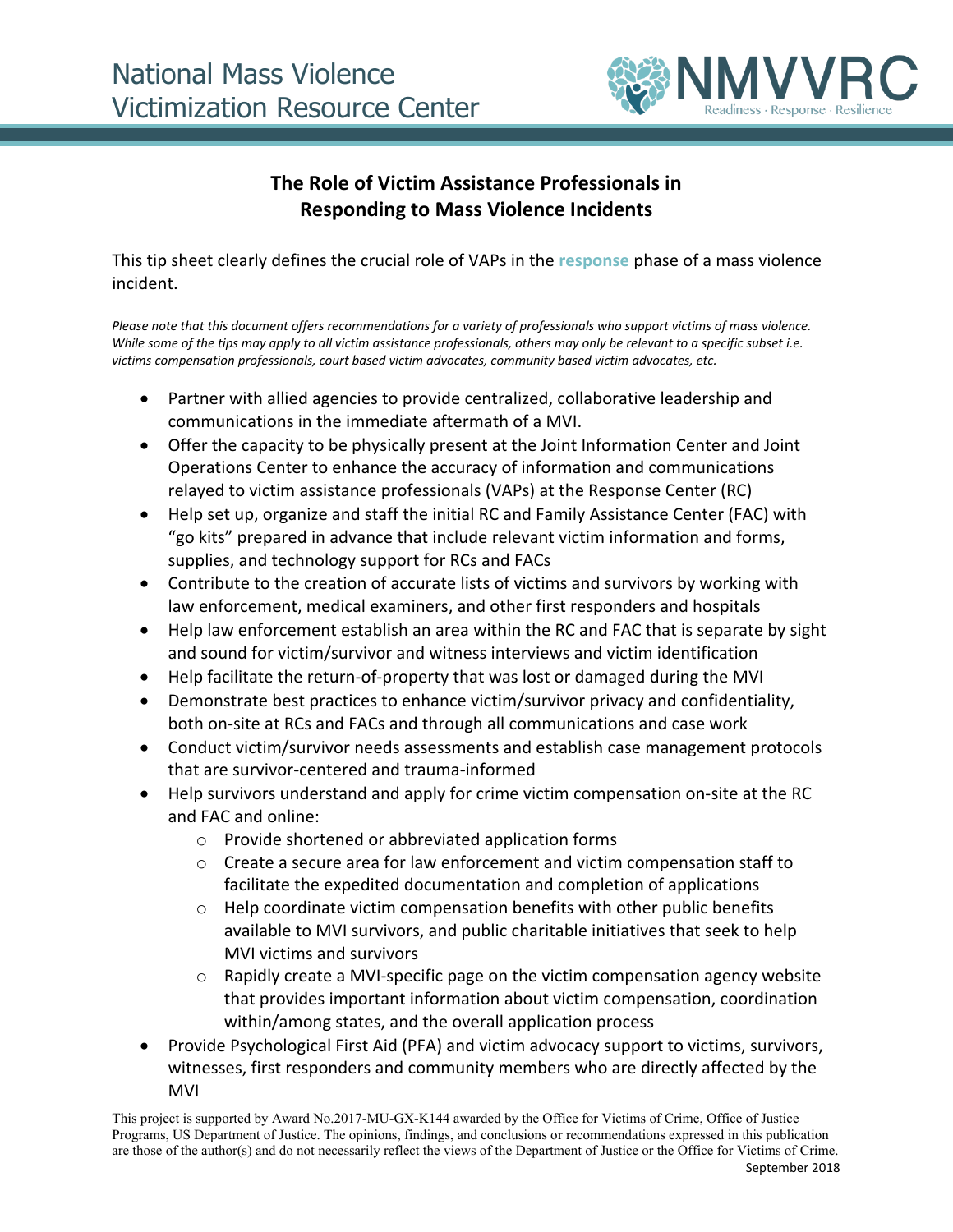

## **The Role of Victim Assistance Professionals in Responding to Mass Violence Incidents**

This tip sheet clearly defines the crucial role of VAPs in the **response** phase of a mass violence incident.

*Please note that this document offers recommendations for a variety of professionals who support victims of mass violence. While some of the tips may apply to all victim assistance professionals, others may only be relevant to a specific subset i.e. victims compensation professionals, court based victim advocates, community based victim advocates, etc.* 

- Partner with allied agencies to provide centralized, collaborative leadership and communications in the immediate aftermath of a MVI.
- Offer the capacity to be physically present at the Joint Information Center and Joint Operations Center to enhance the accuracy of information and communications relayed to victim assistance professionals (VAPs) at the Response Center (RC)
- Help set up, organize and staff the initial RC and Family Assistance Center (FAC) with "go kits" prepared in advance that include relevant victim information and forms, supplies, and technology support for RCs and FACs
- Contribute to the creation of accurate lists of victims and survivors by working with law enforcement, medical examiners, and other first responders and hospitals
- Help law enforcement establish an area within the RC and FAC that is separate by sight and sound for victim/survivor and witness interviews and victim identification
- Help facilitate the return-of-property that was lost or damaged during the MVI
- Demonstrate best practices to enhance victim/survivor privacy and confidentiality, both on-site at RCs and FACs and through all communications and case work
- Conduct victim/survivor needs assessments and establish case management protocols that are survivor-centered and trauma-informed
- Help survivors understand and apply for crime victim compensation on-site at the RC and FAC and online:
	- o Provide shortened or abbreviated application forms
	- $\circ$  Create a secure area for law enforcement and victim compensation staff to facilitate the expedited documentation and completion of applications
	- o Help coordinate victim compensation benefits with other public benefits available to MVI survivors, and public charitable initiatives that seek to help MVI victims and survivors
	- o Rapidly create a MVI-specific page on the victim compensation agency website that provides important information about victim compensation, coordination within/among states, and the overall application process
- Provide Psychological First Aid (PFA) and victim advocacy support to victims, survivors, witnesses, first responders and community members who are directly affected by the MVI